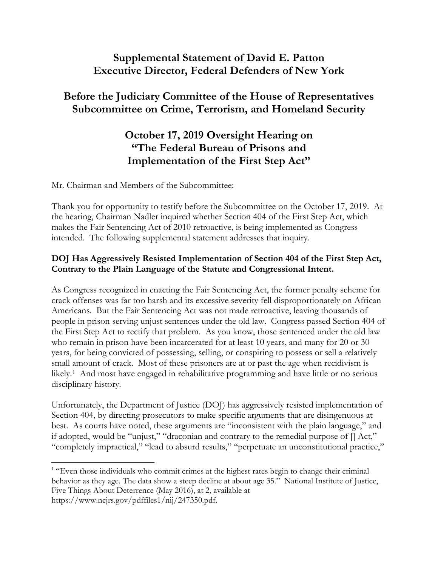### **Supplemental Statement of David E. Patton Executive Director, Federal Defenders of New York**

# **Before the Judiciary Committee of the House of Representatives Subcommittee on Crime, Terrorism, and Homeland Security**

# **October 17, 2019 Oversight Hearing on "The Federal Bureau of Prisons and Implementation of the First Step Act"**

Mr. Chairman and Members of the Subcommittee:

Thank you for opportunity to testify before the Subcommittee on the October 17, 2019. At the hearing, Chairman Nadler inquired whether Section 404 of the First Step Act, which makes the Fair Sentencing Act of 2010 retroactive, is being implemented as Congress intended. The following supplemental statement addresses that inquiry.

### **DOJ Has Aggressively Resisted Implementation of Section 404 of the First Step Act, Contrary to the Plain Language of the Statute and Congressional Intent.**

As Congress recognized in enacting the Fair Sentencing Act, the former penalty scheme for crack offenses was far too harsh and its excessive severity fell disproportionately on African Americans. But the Fair Sentencing Act was not made retroactive, leaving thousands of people in prison serving unjust sentences under the old law. Congress passed Section 404 of the First Step Act to rectify that problem. As you know, those sentenced under the old law who remain in prison have been incarcerated for at least 10 years, and many for 20 or 30 years, for being convicted of possessing, selling, or conspiring to possess or sell a relatively small amount of crack. Most of these prisoners are at or past the age when recidivism is likely.1 And most have engaged in rehabilitative programming and have little or no serious disciplinary history.

Unfortunately, the Department of Justice (DOJ) has aggressively resisted implementation of Section 404, by directing prosecutors to make specific arguments that are disingenuous at best.As courts have noted, these arguments are "inconsistent with the plain language," and if adopted, would be "unjust," "draconian and contrary to the remedial purpose of [] Act," "completely impractical," "lead to absurd results," "perpetuate an unconstitutional practice,"

 $\overline{a}$ <sup>1</sup> "Even those individuals who commit crimes at the highest rates begin to change their criminal behavior as they age. The data show a steep decline at about age 35." National Institute of Justice, Five Things About Deterrence (May 2016), at 2, available at https://www.ncjrs.gov/pdffiles1/nij/247350.pdf.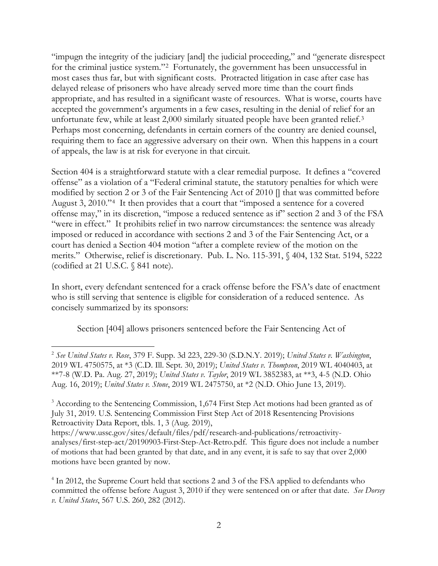"impugn the integrity of the judiciary [and] the judicial proceeding," and "generate disrespect for the criminal justice system."2 Fortunately, the government has been unsuccessful in most cases thus far, but with significant costs. Protracted litigation in case after case has delayed release of prisoners who have already served more time than the court finds appropriate, and has resulted in a significant waste of resources. What is worse, courts have accepted the government's arguments in a few cases, resulting in the denial of relief for an unfortunate few, while at least 2,000 similarly situated people have been granted relief.<sup>3</sup> Perhaps most concerning, defendants in certain corners of the country are denied counsel, requiring them to face an aggressive adversary on their own. When this happens in a court of appeals, the law is at risk for everyone in that circuit.

Section 404 is a straightforward statute with a clear remedial purpose. It defines a "covered offense" as a violation of a "Federal criminal statute, the statutory penalties for which were modified by section 2 or 3 of the Fair Sentencing Act of 2010 [] that was committed before August 3, 2010."4 It then provides that a court that "imposed a sentence for a covered offense may," in its discretion, "impose a reduced sentence as if" section 2 and 3 of the FSA "were in effect." It prohibits relief in two narrow circumstances: the sentence was already imposed or reduced in accordance with sections 2 and 3 of the Fair Sentencing Act, or a court has denied a Section 404 motion "after a complete review of the motion on the merits." Otherwise, relief is discretionary. Pub. L. No. 115-391, § 404, 132 Stat. 5194, 5222 (codified at 21 U.S.C.  $\S$  841 note).

In short, every defendant sentenced for a crack offense before the FSA's date of enactment who is still serving that sentence is eligible for consideration of a reduced sentence. As concisely summarized by its sponsors:

Section [404] allows prisoners sentenced before the Fair Sentencing Act of

 $\overline{a}$ 

<sup>2</sup> *See United States v. Rose*, 379 F. Supp. 3d 223, 229-30 (S.D.N.Y. 2019); *United States v. Washington*, 2019 WL 4750575, at \*3 (C.D. Ill. Sept. 30, 2019); *United States v. Thompson*, 2019 WL 4040403, at \*\*7-8 (W.D. Pa. Aug. 27, 2019); *United States v. Taylor*, 2019 WL 3852383, at \*\*3, 4-5 (N.D. Ohio Aug. 16, 2019); *United States v. Stone*, 2019 WL 2475750, at \*2 (N.D. Ohio June 13, 2019).

<sup>&</sup>lt;sup>3</sup> According to the Sentencing Commission, 1,674 First Step Act motions had been granted as of July 31, 2019. U.S. Sentencing Commission First Step Act of 2018 Resentencing Provisions Retroactivity Data Report, tbls. 1, 3 (Aug. 2019),

https://www.ussc.gov/sites/default/files/pdf/research-and-publications/retroactivityanalyses/first-step-act/20190903-First-Step-Act-Retro.pdf. This figure does not include a number of motions that had been granted by that date, and in any event, it is safe to say that over 2,000 motions have been granted by now.

<sup>4</sup> In 2012, the Supreme Court held that sections 2 and 3 of the FSA applied to defendants who committed the offense before August 3, 2010 if they were sentenced on or after that date. *See Dorsey v. United States*, 567 U.S. 260, 282 (2012).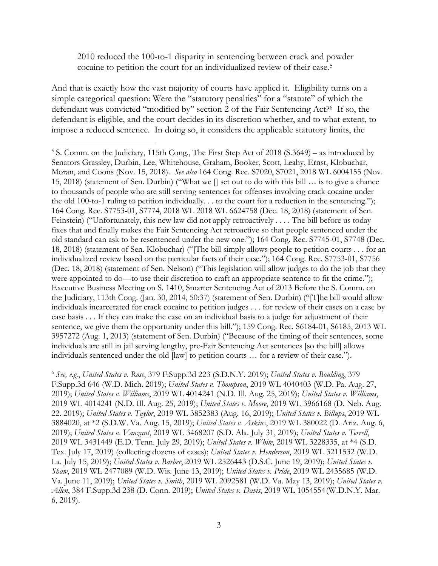#### 2010 reduced the 100-to-1 disparity in sentencing between crack and powder cocaine to petition the court for an individualized review of their case.5

And that is exactly how the vast majority of courts have applied it. Eligibility turns on a simple categorical question: Were the "statutory penalties" for a "statute" of which the defendant was convicted "modified by" section 2 of the Fair Sentencing Act?6 If so, the defendant is eligible, and the court decides in its discretion whether, and to what extent, to impose a reduced sentence. In doing so, it considers the applicable statutory limits, the

 $\overline{a}$ 

<sup>&</sup>lt;sup>5</sup> S. Comm. on the Judiciary, 115th Cong., The First Step Act of 2018 (S.3649) – as introduced by Senators Grassley, Durbin, Lee, Whitehouse, Graham, Booker, Scott, Leahy, Ernst, Klobuchar, Moran, and Coons (Nov. 15, 2018). *See also* 164 Cong. Rec. S7020, S7021, 2018 WL 6004155 (Nov. 15, 2018) (statement of Sen. Durbin) ("What we [] set out to do with this bill … is to give a chance to thousands of people who are still serving sentences for offenses involving crack cocaine under the old 100-to-1 ruling to petition individually. . . to the court for a reduction in the sentencing."); 164 Cong. Rec. S7753-01, S7774, 2018 WL 2018 WL 6624758 (Dec. 18, 2018) (statement of Sen. Feinstein) ("Unfortunately, this new law did not apply retroactively . . . . The bill before us today fixes that and finally makes the Fair Sentencing Act retroactive so that people sentenced under the old standard can ask to be resentenced under the new one."); 164 Cong. Rec. S7745-01, S7748 (Dec. 18, 2018) (statement of Sen. Klobuchar) ("[The bill simply allows people to petition courts . . . for an individualized review based on the particular facts of their case."); 164 Cong. Rec. S7753-01, S7756 (Dec. 18, 2018) (statement of Sen. Nelson) ("This legislation will allow judges to do the job that they were appointed to do—to use their discretion to craft an appropriate sentence to fit the crime."); Executive Business Meeting on S. 1410, Smarter Sentencing Act of 2013 Before the S. Comm. on the Judiciary, 113th Cong. (Jan. 30, 2014, 50:37) (statement of Sen. Durbin) ("[T]he bill would allow individuals incarcerated for crack cocaine to petition judges . . . for review of their cases on a case by case basis . . . If they can make the case on an individual basis to a judge for adjustment of their sentence, we give them the opportunity under this bill."); 159 Cong. Rec. S6184-01, S6185, 2013 WL 3957272 (Aug. 1, 2013) (statement of Sen. Durbin) ("Because of the timing of their sentences, some individuals are still in jail serving lengthy, pre-Fair Sentencing Act sentences [so the bill] allows individuals sentenced under the old [law] to petition courts … for a review of their case.").

<sup>6</sup> *See, e.g.*, *United States v. Rose*, 379 F.Supp.3d 223 (S.D.N.Y. 2019); *United States v. Boulding*, 379 F.Supp.3d 646 (W.D. Mich. 2019); *United States v. Thompson*, 2019 WL 4040403 (W.D. Pa. Aug. 27, 2019); *United States v. Williams*, 2019 WL 4014241 (N.D. Ill. Aug. 25, 2019); *United States v. Williams*, 2019 WL 4014241 (N.D. Ill. Aug. 25, 2019); *United States v. Moore*, 2019 WL 3966168 (D. Neb. Aug. 22. 2019); *United States v. Taylor*, 2019 WL 3852383 (Aug. 16, 2019); *United States v. Billups*, 2019 WL 3884020, at \*2 (S.D.W. Va. Aug. 15, 2019); *United States v. Askins*, 2019 WL 380022 (D. Ariz. Aug. 6, 2019); *United States v. Vanzant*, 2019 WL 3468207 (S.D. Ala. July 31, 2019); *United States v. Terrell*, 2019 WL 3431449 (E.D. Tenn. July 29, 2019); *United States v. White*, 2019 WL 3228335, at \*4 (S.D. Tex. July 17, 2019) (collecting dozens of cases); *United States v. Henderson*, 2019 WL 3211532 (W.D. La. July 15, 2019); *United States v. Barber*, 2019 WL 2526443 (D.S.C. June 19, 2019); *United States v. Shaw*, 2019 WL 2477089 (W.D. Wis. June 13, 2019); *United States v. Pride*, 2019 WL 2435685 (W.D. Va. June 11, 2019); *United States v. Smith*, 2019 WL 2092581 (W.D. Va. May 13, 2019); *United States v. Allen*, 384 F.Supp.3d 238 (D. Conn. 2019); *United States v. Davis*, 2019 WL 1054554(W.D.N.Y. Mar. 6, 2019).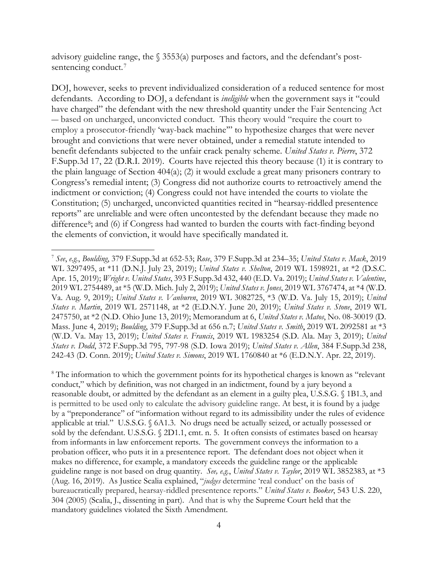advisory guideline range, the  $\S$  3553(a) purposes and factors, and the defendant's postsentencing conduct.<sup>7</sup>

DOJ, however, seeks to prevent individualized consideration of a reduced sentence for most defendants. According to DOJ, a defendant is *ineligible* when the government says it "could have charged" the defendant with the new threshold quantity under the Fair Sentencing Act ― based on uncharged, unconvicted conduct. This theory would "require the court to employ a prosecutor-friendly 'way-back machine'" to hypothesize charges that were never brought and convictions that were never obtained, under a remedial statute intended to benefit defendants subjected to the unfair crack penalty scheme. *United States v. Pierre*, 372 F.Supp.3d 17, 22 (D.R.I. 2019). Courts have rejected this theory because (1) it is contrary to the plain language of Section 404(a); (2) it would exclude a great many prisoners contrary to Congress's remedial intent; (3) Congress did not authorize courts to retroactively amend the indictment or conviction; (4) Congress could not have intended the courts to violate the Constitution; (5) uncharged, unconvicted quantities recited in "hearsay-riddled presentence reports" are unreliable and were often uncontested by the defendant because they made no difference<sup>8</sup>; and (6) if Congress had wanted to burden the courts with fact-finding beyond the elements of conviction, it would have specifically mandated it.

<sup>8</sup> The information to which the government points for its hypothetical charges is known as "relevant" conduct," which by definition, was not charged in an indictment, found by a jury beyond a reasonable doubt, or admitted by the defendant as an element in a guilty plea, U.S.S.G. § 1B1.3, and is permitted to be used only to calculate the advisory guideline range. At best, it is found by a judge by a "preponderance" of "information without regard to its admissibility under the rules of evidence applicable at trial." U.S.S.G. § 6A1.3. No drugs need be actually seized, or actually possessed or sold by the defendant. U.S.S.G. § 2D1.1, cmt. n. 5. It often consists of estimates based on hearsay from informants in law enforcement reports. The government conveys the information to a probation officer, who puts it in a presentence report. The defendant does not object when it makes no difference, for example, a mandatory exceeds the guideline range or the applicable guideline range is not based on drug quantity. *See, e.g.*, *United States v. Taylor*, 2019 WL 3852383, at \*3 (Aug. 16, 2019). As Justice Scalia explained, "*judges* determine 'real conduct' on the basis of bureaucratically prepared, hearsay-riddled presentence reports." *United States v. Booker*, 543 U.S. 220, 304 (2005) (Scalia, J., dissenting in part). And that is why the Supreme Court held that the mandatory guidelines violated the Sixth Amendment.

 $\overline{a}$ <sup>7</sup> *See*, *e.g.*, *Boulding*, 379 F.Supp.3d at 652-53; *Rose*, 379 F.Supp.3d at 234–35; *United States v. Mack*, 2019 WL 3297495, at \*11 (D.N.J. July 23, 2019); *United States v. Shelton*, 2019 WL 1598921, at \*2 (D.S.C. Apr. 15, 2019); *Wright v. United States*, 393 F.Supp.3d 432, 440 (E.D. Va. 2019); *United States v. Valentine*, 2019 WL 2754489, at \*5 (W.D. Mich. July 2, 2019); *United States v. Jones*, 2019 WL 3767474, at \*4 (W.D. Va. Aug. 9, 2019); *United States v. Vanburen*, 2019 WL 3082725, \*3 (W.D. Va. July 15, 2019); *United States v. Martin*, 2019 WL 2571148, at \*2 (E.D.N.Y. June 20, 2019); *United States v. Stone*, 2019 WL 2475750, at \*2 (N.D. Ohio June 13, 2019); Memorandum at 6, *United States v. Matos*, No. 08-30019 (D. Mass. June 4, 2019); *Boulding*, 379 F.Supp.3d at 656 n.7; *United States v. Smith*, 2019 WL 2092581 at \*3 (W.D. Va. May 13, 2019); *United States v. Francis*, 2019 WL 1983254 (S.D. Ala. May 3, 2019); *United States v. Dodd*, 372 F.Supp.3d 795, 797-98 (S.D. Iowa 2019); *United States v. Allen*, 384 F.Supp.3d 238, 242-43 (D. Conn. 2019); *United States v. Simons*, 2019 WL 1760840 at \*6 (E.D.N.Y. Apr. 22, 2019).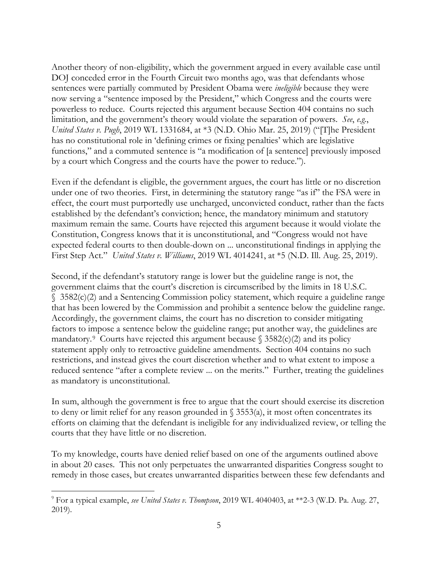Another theory of non-eligibility, which the government argued in every available case until DOJ conceded error in the Fourth Circuit two months ago, was that defendants whose sentences were partially commuted by President Obama were *ineligible* because they were now serving a "sentence imposed by the President," which Congress and the courts were powerless to reduce. Courts rejected this argument because Section 404 contains no such limitation, and the government's theory would violate the separation of powers. *See*, *e.g.*, *United States v. Pugh*, 2019 WL 1331684, at \*3 (N.D. Ohio Mar. 25, 2019) ("[T]he President has no constitutional role in 'defining crimes or fixing penalties' which are legislative functions," and a commuted sentence is "a modification of [a sentence] previously imposed by a court which Congress and the courts have the power to reduce.").

Even if the defendant is eligible, the government argues, the court has little or no discretion under one of two theories. First, in determining the statutory range "as if" the FSA were in effect, the court must purportedly use uncharged, unconvicted conduct, rather than the facts established by the defendant's conviction; hence, the mandatory minimum and statutory maximum remain the same. Courts have rejected this argument because it would violate the Constitution, Congress knows that it is unconstitutional, and "Congress would not have expected federal courts to then double-down on ... unconstitutional findings in applying the First Step Act." *United States v. Williams*, 2019 WL 4014241, at \*5 (N.D. Ill. Aug. 25, 2019).

Second, if the defendant's statutory range is lower but the guideline range is not, the government claims that the court's discretion is circumscribed by the limits in 18 U.S.C. § 3582(c)(2) and a Sentencing Commission policy statement, which require a guideline range that has been lowered by the Commission and prohibit a sentence below the guideline range. Accordingly, the government claims, the court has no discretion to consider mitigating factors to impose a sentence below the guideline range; put another way, the guidelines are mandatory.<sup>9</sup> Courts have rejected this argument because  $\frac{1}{2}$  3582(c)(2) and its policy statement apply only to retroactive guideline amendments. Section 404 contains no such restrictions, and instead gives the court discretion whether and to what extent to impose a reduced sentence "after a complete review ... on the merits." Further, treating the guidelines as mandatory is unconstitutional.

In sum, although the government is free to argue that the court should exercise its discretion to deny or limit relief for any reason grounded in  $\S$  3553(a), it most often concentrates its efforts on claiming that the defendant is ineligible for any individualized review, or telling the courts that they have little or no discretion.

To my knowledge, courts have denied relief based on one of the arguments outlined above in about 20 cases. This not only perpetuates the unwarranted disparities Congress sought to remedy in those cases, but creates unwarranted disparities between these few defendants and

 $\overline{a}$ 

<sup>9</sup> For a typical example, *see United States v. Thompson*, 2019 WL 4040403, at \*\*2-3 (W.D. Pa. Aug. 27, 2019).